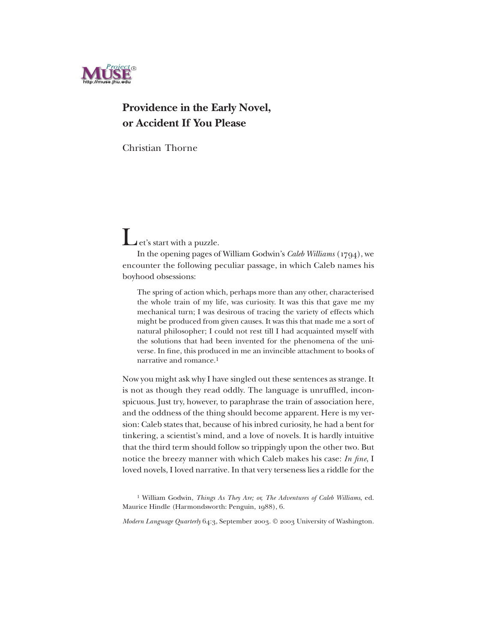

## **Providence in the Early Novel, or Accident If You Please**

Christian Thorne

Let's start with a puzzle.

In the opening pages of William Godwin's *Caleb Williams* (1794), we encounter the following peculiar passage, in which Caleb names his boyhood obsessions:

The spring of action which, perhaps more than any other, characterised the whole train of my life, was curiosity. It was this that gave me my mechanical turn; I was desirous of tracing the variety of effects which might be produced from given causes. It was this that made me a sort of natural philosopher; I could not rest till I had acquainted myself with the solutions that had been invented for the phenomena of the universe. In fine, this produced in me an invincible attachment to books of narrative and romance.1

Now you might ask why I have singled out these sentences as strange. It is not as though they read oddly. The language is unruffled, inconspicuous. Just try, however, to paraphrase the train of association here, and the oddness of the thing should become apparent. Here is my version: Caleb states that, because of his inbred curiosity, he had a bent for tinkering, a scientist's mind, and a love of novels. It is hardly intuitive that the third term should follow so trippingly upon the other two. But notice the breezy manner with which Caleb makes his case: *In fine*, I loved novels, I loved narrative. In that very terseness lies a riddle for the

<sup>1</sup> William Godwin, *Things As They Are; or, The Adventures of Caleb Williams*, ed. Maurice Hindle (Harmondsworth: Penguin, 1988), 6.

*Modern Language Quarterly* 64:3, September 2003. © 2003 University of Washington.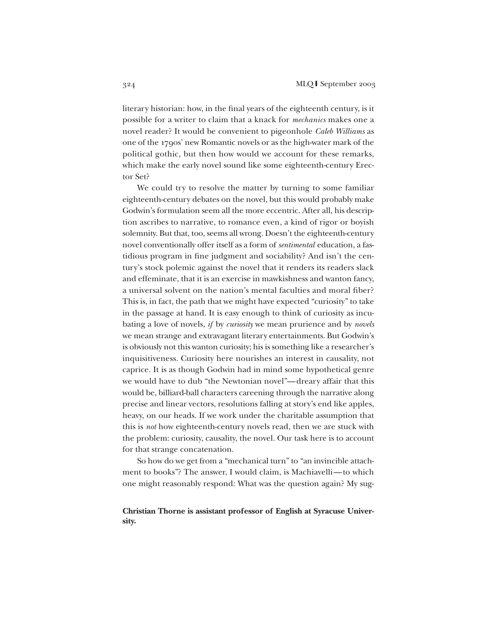literary historian: how, in the final years of the eighteenth century, is it possible for a writer to claim that a knack for *mechanics* makes one a novel reader? It would be convenient to pigeonhole *Caleb Williams* as one of the 1790s' new Romantic novels or as the high-water mark of the political gothic, but then how would we account for these remarks, which make the early novel sound like some eighteenth-century Erector Set?

We could try to resolve the matter by turning to some familiar eighteenth-century debates on the novel, but this would probably make Godwin's formulation seem all the more eccentric. After all, his description ascribes to narrative, to romance even, a kind of rigor or boyish solemnity. But that, too, seems all wrong. Doesn't the eighteenth-century novel conventionally offer itself as a form of *sentimental* education, a fastidious program in fine judgment and sociability? And isn't the century's stock polemic against the novel that it renders its readers slack and effeminate, that it is an exercise in mawkishness and wanton fancy, a universal solvent on the nation's mental faculties and moral fiber? This is, in fact, the path that we might have expected "curiosity" to take in the passage at hand. It is easy enough to think of curiosity as incubating a love of novels, *if* by *curiosity* we mean prurience and by *novels* we mean strange and extravagant literary entertainments. But Godwin's is obviously not this wanton curiosity; his is something like a researcher's inquisitiveness. Curiosity here nourishes an interest in causality, not caprice. It is as though Godwin had in mind some hypothetical genre we would have to dub "the Newtonian novel"—dreary affair that this would be, billiard-ball characters careening through the narrative along precise and linear vectors, resolutions falling at story's end like apples, heavy, on our heads. If we work under the charitable assumption that this is *not* how eighteenth-century novels read, then we are stuck with the problem: curiosity, causality, the novel. Our task here is to account for that strange concatenation.

So how do we get from a "mechanical turn" to "an invincible attachment to books"? The answer, I would claim, is Machiavelli—to which one might reasonably respond: What was the question again? My sug-

## **Christian Thorne is assistant professor of English at Syracuse University.**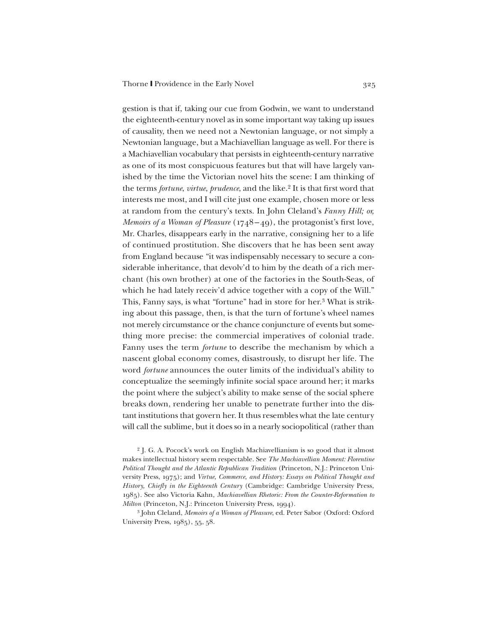gestion is that if, taking our cue from Godwin, we want to understand the eighteenth-century novel as in some important way taking up issues of causality, then we need not a Newtonian language, or not simply a Newtonian language, but a Machiavellian language as well. For there is a Machiavellian vocabulary that persists in eighteenth-century narrative as one of its most conspicuous features but that will have largely vanished by the time the Victorian novel hits the scene: I am thinking of the terms *fortune*, *virtue*, *prudence*, and the like.2 It is that first word that interests me most, and I will cite just one example, chosen more or less at random from the century's texts. In John Cleland's *Fanny Hill; or, Memoirs of a Woman of Pleasure* (1748–49), the protagonist's first love, Mr. Charles, disappears early in the narrative, consigning her to a life of continued prostitution. She discovers that he has been sent away from England because "it was indispensably necessary to secure a considerable inheritance, that devolv'd to him by the death of a rich merchant (his own brother) at one of the factories in the South-Seas, of which he had lately receiv'd advice together with a copy of the Will." This, Fanny says, is what "fortune" had in store for her.3 What is striking about this passage, then, is that the turn of fortune's wheel names not merely circumstance or the chance conjuncture of events but something more precise: the commercial imperatives of colonial trade. Fanny uses the term *fortune* to describe the mechanism by which a nascent global economy comes, disastrously, to disrupt her life. The word *fortune* announces the outer limits of the individual's ability to conceptualize the seemingly infinite social space around her; it marks the point where the subject's ability to make sense of the social sphere breaks down, rendering her unable to penetrate further into the distant institutions that govern her. It thus resembles what the late century will call the sublime, but it does so in a nearly sociopolitical (rather than

<sup>2</sup> J. G. A. Pocock's work on English Machiavellianism is so good that it almost makes intellectual history seem respectable. See *The Machiavellian Moment: Florentine Political Thought and the Atlantic Republican Tradition* (Princeton, N.J.: Princeton University Press, 1975); and *Virtue, Commerce, and History: Essays on Political Thought and History, Chiefly in the Eighteenth Century* (Cambridge: Cambridge University Press, 1985). See also Victoria Kahn, *Machiavellian Rhetoric: From the Counter-Reformation to Milton* (Princeton, N.J.: Princeton University Press, 1994).

<sup>3</sup> John Cleland, *Memoirs of a Woman of Pleasure*, ed. Peter Sabor (Oxford: Oxford University Press, 1985), 55, 58.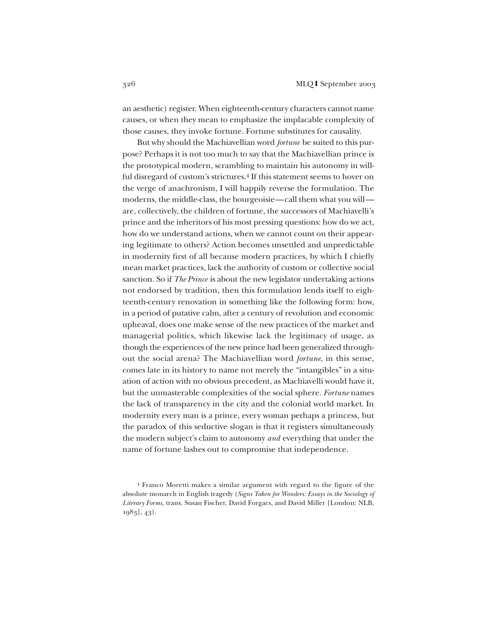an aesthetic) register. When eighteenth-century characters cannot name causes, or when they mean to emphasize the implacable complexity of those causes, they invoke fortune. Fortune substitutes for causality.

But why should the Machiavellian word *fortune* be suited to this purpose? Perhaps it is not too much to say that the Machiavellian prince is the prototypical modern, scrambling to maintain his autonomy in willful disregard of custom's strictures.<sup>4</sup> If this statement seems to hover on the verge of anachronism, I will happily reverse the formulation. The moderns, the middle-class, the bourgeoisie—call them what you will are, collectively, the children of fortune, the successors of Machiavelli's prince and the inheritors of his most pressing questions: how do we act, how do we understand actions, when we cannot count on their appearing legitimate to others? Action becomes unsettled and unpredictable in modernity first of all because modern practices, by which I chiefly mean market practices, lack the authority of custom or collective social sanction. So if *The Prince* is about the new legislator undertaking actions not endorsed by tradition, then this formulation lends itself to eighteenth-century renovation in something like the following form: how, in a period of putative calm, after a century of revolution and economic upheaval, does one make sense of the new practices of the market and managerial politics, which likewise lack the legitimacy of usage, as though the experiences of the new prince had been generalized throughout the social arena? The Machiavellian word *fortune*, in this sense, comes late in its history to name not merely the "intangibles" in a situation of action with no obvious precedent, as Machiavelli would have it, but the unmasterable complexities of the social sphere. *Fortune* names the lack of transparency in the city and the colonial world market. In modernity every man is a prince, every woman perhaps a princess, but the paradox of this seductive slogan is that it registers simultaneously the modern subject's claim to autonomy *and* everything that under the name of fortune lashes out to compromise that independence.

<sup>4</sup> Franco Moretti makes a similar argument with regard to the figure of the absolute monarch in English tragedy (*Signs Taken for Wonders: Essays in the Sociology of Literary Forms*, trans. Susan Fischer, David Forgacs, and David Miller [London: NLB, 1983], 43).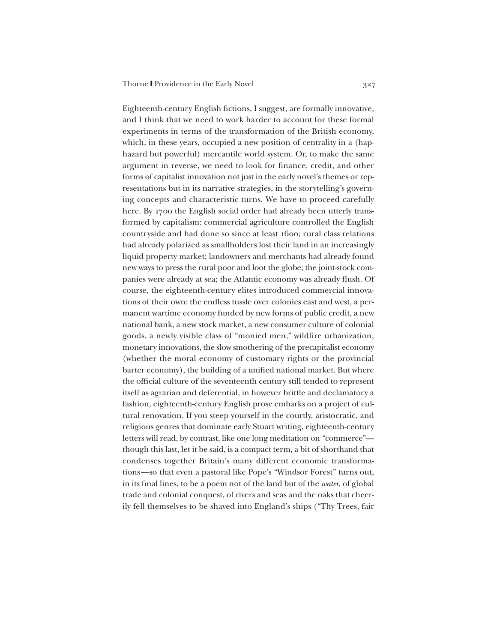Eighteenth-century English fictions, I suggest, are formally innovative, and I think that we need to work harder to account for these formal experiments in terms of the transformation of the British economy, which, in these years, occupied a new position of centrality in a (haphazard but powerful) mercantile world system. Or, to make the same argument in reverse, we need to look for finance, credit, and other forms of capitalist innovation not just in the early novel's themes or representations but in its narrative strategies, in the storytelling's governing concepts and characteristic turns. We have to proceed carefully here. By 1700 the English social order had already been utterly transformed by capitalism: commercial agriculture controlled the English countryside and had done so since at least 1600; rural class relations had already polarized as smallholders lost their land in an increasingly liquid property market; landowners and merchants had already found new ways to press the rural poor and loot the globe; the joint-stock companies were already at sea; the Atlantic economy was already flush. Of course, the eighteenth-century elites introduced commercial innovations of their own: the endless tussle over colonies east and west, a permanent wartime economy funded by new forms of public credit, a new national bank, a new stock market, a new consumer culture of colonial goods, a newly visible class of "monied men," wildfire urbanization, monetary innovations, the slow smothering of the precapitalist economy (whether the moral economy of customary rights or the provincial barter economy), the building of a unified national market. But where the official culture of the seventeenth century still tended to represent itself as agrarian and deferential, in however brittle and declamatory a fashion, eighteenth-century English prose embarks on a project of cultural renovation. If you steep yourself in the courtly, aristocratic, and religious genres that dominate early Stuart writing, eighteenth-century letters will read, by contrast, like one long meditation on "commerce" though this last, let it be said, is a compact term, a bit of shorthand that condenses together Britain's many different economic transformations—so that even a pastoral like Pope's "Windsor Forest" turns out, in its final lines, to be a poem not of the land but of the *water*, of global trade and colonial conquest, of rivers and seas and the oaks that cheerily fell themselves to be shaved into England's ships ("Thy Trees, fair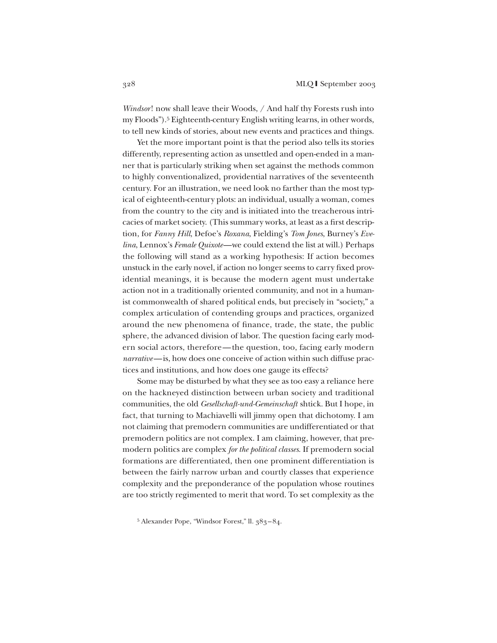*Windsor*! now shall leave their Woods, / And half thy Forests rush into my Floods").5 Eighteenth-century English writing learns, in other words, to tell new kinds of stories, about new events and practices and things.

Yet the more important point is that the period also tells its stories differently, representing action as unsettled and open-ended in a manner that is particularly striking when set against the methods common to highly conventionalized, providential narratives of the seventeenth century. For an illustration, we need look no farther than the most typical of eighteenth-century plots: an individual, usually a woman, comes from the country to the city and is initiated into the treacherous intricacies of market society. (This summary works, at least as a first description, for *Fanny Hill*, Defoe's *Roxana*, Fielding's *Tom Jones*, Burney's *Evelina*, Lennox's *Female Quixote*—we could extend the list at will.) Perhaps the following will stand as a working hypothesis: If action becomes unstuck in the early novel, if action no longer seems to carry fixed providential meanings, it is because the modern agent must undertake action not in a traditionally oriented community, and not in a humanist commonwealth of shared political ends, but precisely in "society," a complex articulation of contending groups and practices, organized around the new phenomena of finance, trade, the state, the public sphere, the advanced division of labor. The question facing early modern social actors, therefore—the question, too, facing early modern *narrative*—is, how does one conceive of action within such diffuse practices and institutions, and how does one gauge its effects?

Some may be disturbed by what they see as too easy a reliance here on the hackneyed distinction between urban society and traditional communities, the old *Gesellschaft-und-Gemeinschaft* shtick. But I hope, in fact, that turning to Machiavelli will jimmy open that dichotomy. I am not claiming that premodern communities are undifferentiated or that premodern politics are not complex. I am claiming, however, that premodern politics are complex *for the political classes*. If premodern social formations are differentiated, then one prominent differentiation is between the fairly narrow urban and courtly classes that experience complexity and the preponderance of the population whose routines are too strictly regimented to merit that word. To set complexity as the

<sup>5</sup> Alexander Pope, "Windsor Forest," ll. 383–84.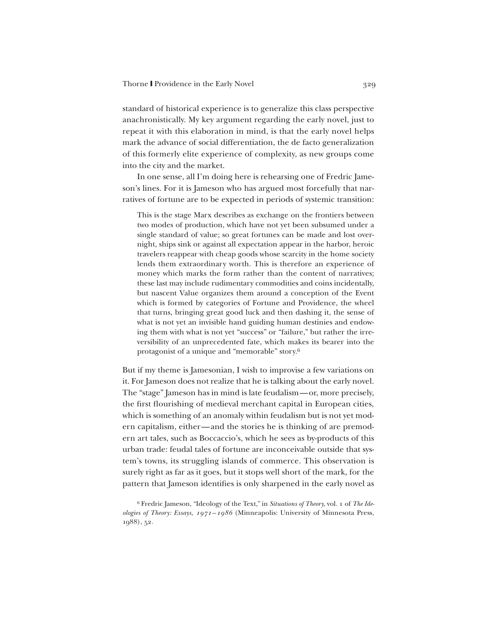standard of historical experience is to generalize this class perspective anachronistically. My key argument regarding the early novel, just to repeat it with this elaboration in mind, is that the early novel helps mark the advance of social differentiation, the de facto generalization of this formerly elite experience of complexity, as new groups come into the city and the market.

In one sense, all I'm doing here is rehearsing one of Fredric Jameson's lines. For it is Jameson who has argued most forcefully that narratives of fortune are to be expected in periods of systemic transition:

This is the stage Marx describes as exchange on the frontiers between two modes of production, which have not yet been subsumed under a single standard of value; so great fortunes can be made and lost overnight, ships sink or against all expectation appear in the harbor, heroic travelers reappear with cheap goods whose scarcity in the home society lends them extraordinary worth. This is therefore an experience of money which marks the form rather than the content of narratives; these last may include rudimentary commodities and coins incidentally, but nascent Value organizes them around a conception of the Event which is formed by categories of Fortune and Providence, the wheel that turns, bringing great good luck and then dashing it, the sense of what is not yet an invisible hand guiding human destinies and endowing them with what is not yet "success" or "failure," but rather the irreversibility of an unprecedented fate, which makes its bearer into the protagonist of a unique and "memorable" story.6

But if my theme is Jamesonian, I wish to improvise a few variations on it. For Jameson does not realize that he is talking about the early novel. The "stage" Jameson has in mind is late feudalism—or, more precisely, the first flourishing of medieval merchant capital in European cities, which is something of an anomaly within feudalism but is not yet modern capitalism, either—and the stories he is thinking of are premodern art tales, such as Boccaccio's, which he sees as by-products of this urban trade: feudal tales of fortune are inconceivable outside that system's towns, its struggling islands of commerce. This observation is surely right as far as it goes, but it stops well short of the mark, for the pattern that Jameson identifies is only sharpened in the early novel as

<sup>6</sup> Fredric Jameson, "Ideology of the Text," in *Situations of Theory*, vol. 1 of *The Ideologies of Theory: Essays, 1971–1986* (Minneapolis: University of Minnesota Press, 1988), 52.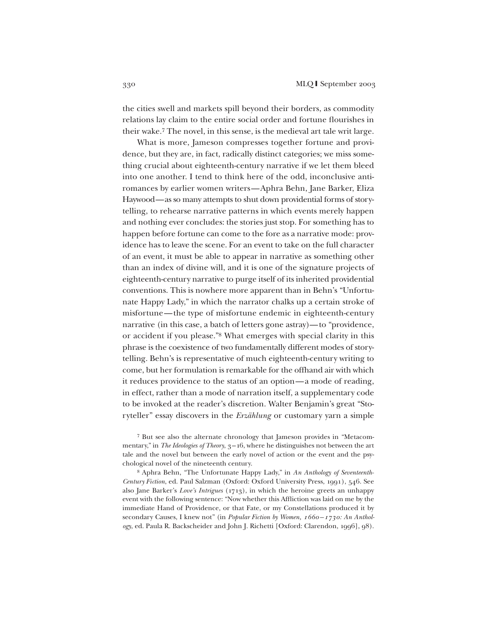the cities swell and markets spill beyond their borders, as commodity relations lay claim to the entire social order and fortune flourishes in their wake.7 The novel, in this sense, is the medieval art tale writ large.

What is more, Jameson compresses together fortune and providence, but they are, in fact, radically distinct categories; we miss something crucial about eighteenth-century narrative if we let them bleed into one another. I tend to think here of the odd, inconclusive antiromances by earlier women writers—Aphra Behn, Jane Barker, Eliza Haywood—as so many attempts to shut down providential forms of storytelling, to rehearse narrative patterns in which events merely happen and nothing ever concludes: the stories just stop. For something has to happen before fortune can come to the fore as a narrative mode: providence has to leave the scene. For an event to take on the full character of an event, it must be able to appear in narrative as something other than an index of divine will, and it is one of the signature projects of eighteenth-century narrative to purge itself of its inherited providential conventions. This is nowhere more apparent than in Behn's "Unfortunate Happy Lady," in which the narrator chalks up a certain stroke of misfortune—the type of misfortune endemic in eighteenth-century narrative (in this case, a batch of letters gone astray)—to "providence, or accident if you please."8 What emerges with special clarity in this phrase is the coexistence of two fundamentally different modes of storytelling. Behn's is representative of much eighteenth-century writing to come, but her formulation is remarkable for the offhand air with which it reduces providence to the status of an option—a mode of reading, in effect, rather than a mode of narration itself, a supplementary code to be invoked at the reader's discretion. Walter Benjamin's great "Storyteller" essay discovers in the *Erzählung* or customary yarn a simple

<sup>7</sup> But see also the alternate chronology that Jameson provides in "Metacommentary," in *The Ideologies of Theory*, 3-16, where he distinguishes not between the art tale and the novel but between the early novel of action or the event and the psychological novel of the nineteenth century.

<sup>8</sup> Aphra Behn, "The Unfortunate Happy Lady," in *An Anthology of Seventeenth-Century Fiction*, ed. Paul Salzman (Oxford: Oxford University Press, 1991), 546. See also Jane Barker's *Love's Intrigues* (1713), in which the heroine greets an unhappy event with the following sentence: "Now whether this Affliction was laid on me by the immediate Hand of Providence, or that Fate, or my Constellations produced it by secondary Causes, I knew not" (in *Popular Fiction by Women, 1660–1730: An Anthology*, ed. Paula R. Backscheider and John J. Richetti [Oxford: Clarendon, 1996], 98).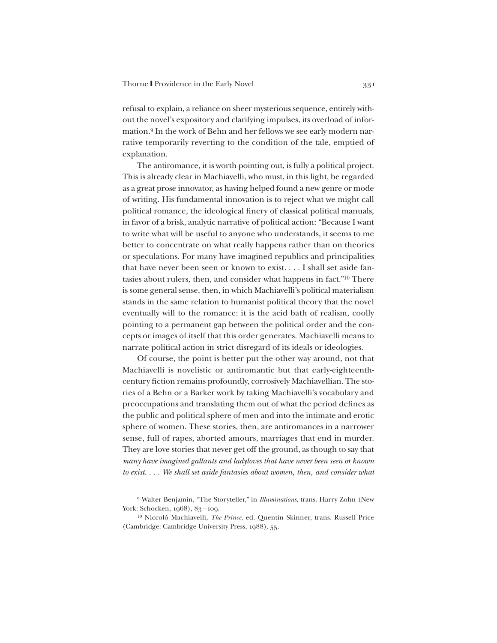refusal to explain, a reliance on sheer mysterious sequence, entirely without the novel's expository and clarifying impulses, its overload of information.9 In the work of Behn and her fellows we see early modern narrative temporarily reverting to the condition of the tale, emptied of explanation.

The antiromance, it is worth pointing out, is fully a political project. This is already clear in Machiavelli, who must, in this light, be regarded as a great prose innovator, as having helped found a new genre or mode of writing. His fundamental innovation is to reject what we might call political romance, the ideological finery of classical political manuals, in favor of a brisk, analytic narrative of political action: "Because I want to write what will be useful to anyone who understands, it seems to me better to concentrate on what really happens rather than on theories or speculations. For many have imagined republics and principalities that have never been seen or known to exist. . . . I shall set aside fantasies about rulers, then, and consider what happens in fact."10 There is some general sense, then, in which Machiavelli's political materialism stands in the same relation to humanist political theory that the novel eventually will to the romance: it is the acid bath of realism, coolly pointing to a permanent gap between the political order and the concepts or images of itself that this order generates. Machiavelli means to narrate political action in strict disregard of its ideals or ideologies.

Of course, the point is better put the other way around, not that Machiavelli is novelistic or antiromantic but that early-eighteenthcentury fiction remains profoundly, corrosively Machiavellian. The stories of a Behn or a Barker work by taking Machiavelli's vocabulary and preoccupations and translating them out of what the period defines as the public and political sphere of men and into the intimate and erotic sphere of women. These stories, then, are antiromances in a narrower sense, full of rapes, aborted amours, marriages that end in murder. They are love stories that never get off the ground, as though to say that *many have imagined gallants and ladyloves that have never been seen or known to exist. . . . We shall set aside fantasies about women, then, and consider what*

<sup>9</sup> Walter Benjamin, "The Storyteller," in *Illuminations*, trans. Harry Zohn (New York: Schocken, 1968), 83-109.

<sup>10</sup> Niccoló Machiavelli, *The Prince*, ed. Quentin Skinner, trans. Russell Price (Cambridge: Cambridge University Press, 1988), 55.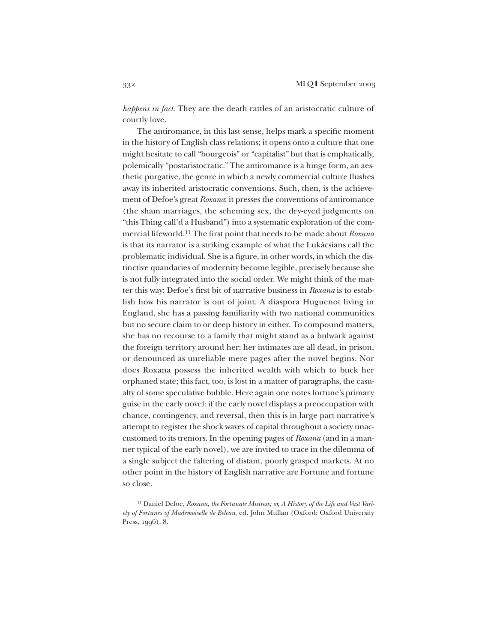*happens in fact*. They are the death rattles of an aristocratic culture of courtly love.

The antiromance, in this last sense, helps mark a specific moment in the history of English class relations; it opens onto a culture that one might hesitate to call "bourgeois" or "capitalist" but that is emphatically, polemically "postaristocratic." The antiromance is a hinge form, an aesthetic purgative, the genre in which a newly commercial culture flushes away its inherited aristocratic conventions. Such, then, is the achievement of Defoe's great *Roxana*: it presses the conventions of antiromance (the sham marriages, the scheming sex, the dry-eyed judgments on "this Thing call'd a Husband") into a systematic exploration of the commercial lifeworld.11 The first point that needs to be made about *Roxana* is that its narrator is a striking example of what the Lukácsians call the problematic individual. She is a figure, in other words, in which the distinctive quandaries of modernity become legible, precisely because she is not fully integrated into the social order. We might think of the matter this way: Defoe's first bit of narrative business in *Roxana* is to establish how his narrator is out of joint. A diaspora Huguenot living in England, she has a passing familiarity with two national communities but no secure claim to or deep history in either. To compound matters, she has no recourse to a family that might stand as a bulwark against the foreign territory around her; her intimates are all dead, in prison, or denounced as unreliable mere pages after the novel begins. Nor does Roxana possess the inherited wealth with which to buck her orphaned state; this fact, too, is lost in a matter of paragraphs, the casualty of some speculative bubble. Here again one notes fortune's primary guise in the early novel: if the early novel displays a preoccupation with chance, contingency, and reversal, then this is in large part narrative's attempt to register the shock waves of capital throughout a society unaccustomed to its tremors. In the opening pages of *Roxana* (and in a manner typical of the early novel), we are invited to trace in the dilemma of a single subject the faltering of distant, poorly grasped markets. At no other point in the history of English narrative are Fortune and fortune so close.

<sup>11</sup> Daniel Defoe, *Roxana, the Fortunate Mistress; or, A History of the Life and Vast Variety of Fortunes of Mademoiselle de Beleau*, ed. John Mullan (Oxford: Oxford University Press, 1996), 8.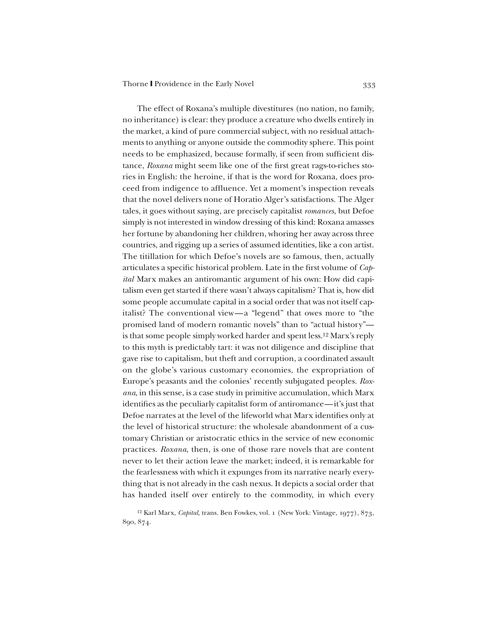The effect of Roxana's multiple divestitures (no nation, no family, no inheritance) is clear: they produce a creature who dwells entirely in the market, a kind of pure commercial subject, with no residual attachments to anything or anyone outside the commodity sphere. This point needs to be emphasized, because formally, if seen from sufficient distance, *Roxana* might seem like one of the first great rags-to-riches stories in English: the heroine, if that is the word for Roxana, does proceed from indigence to affluence. Yet a moment's inspection reveals that the novel delivers none of Horatio Alger's satisfactions. The Alger tales, it goes without saying, are precisely capitalist *romances*, but Defoe simply is not interested in window dressing of this kind: Roxana amasses her fortune by abandoning her children, whoring her away across three countries, and rigging up a series of assumed identities, like a con artist. The titillation for which Defoe's novels are so famous, then, actually articulates a specific historical problem. Late in the first volume of *Capital* Marx makes an antiromantic argument of his own: How did capitalism even get started if there wasn't always capitalism? That is, how did some people accumulate capital in a social order that was not itself capitalist? The conventional view—a "legend" that owes more to "the promised land of modern romantic novels" than to "actual history" is that some people simply worked harder and spent less.12 Marx's reply to this myth is predictably tart: it was not diligence and discipline that gave rise to capitalism, but theft and corruption, a coordinated assault on the globe's various customary economies, the expropriation of Europe's peasants and the colonies' recently subjugated peoples. *Roxana*, in this sense, is a case study in primitive accumulation, which Marx identifies as the peculiarly capitalist form of antiromance—it's just that Defoe narrates at the level of the lifeworld what Marx identifies only at the level of historical structure: the wholesale abandonment of a customary Christian or aristocratic ethics in the service of new economic practices. *Roxana*, then, is one of those rare novels that are content never to let their action leave the market; indeed, it is remarkable for the fearlessness with which it expunges from its narrative nearly everything that is not already in the cash nexus. It depicts a social order that has handed itself over entirely to the commodity, in which every

<sup>12</sup> Karl Marx, *Capital*, trans. Ben Fowkes, vol. 1 (New York: Vintage, 1977), 873, 890, 874.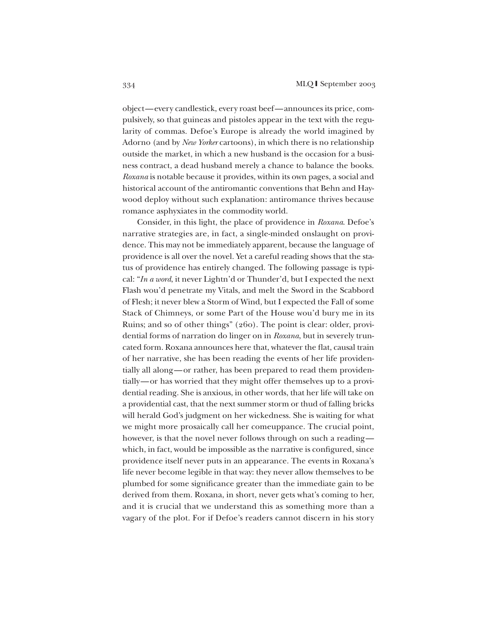object—every candlestick, every roast beef—announces its price, compulsively, so that guineas and pistoles appear in the text with the regularity of commas. Defoe's Europe is already the world imagined by Adorno (and by *New Yorker* cartoons), in which there is no relationship outside the market, in which a new husband is the occasion for a business contract, a dead husband merely a chance to balance the books. *Roxana* is notable because it provides, within its own pages, a social and historical account of the antiromantic conventions that Behn and Haywood deploy without such explanation: antiromance thrives because romance asphyxiates in the commodity world.

Consider, in this light, the place of providence in *Roxana*. Defoe's narrative strategies are, in fact, a single-minded onslaught on providence. This may not be immediately apparent, because the language of providence is all over the novel. Yet a careful reading shows that the status of providence has entirely changed. The following passage is typical: "*In a word*, it never Lightn'd or Thunder'd, but I expected the next Flash wou'd penetrate my Vitals, and melt the Sword in the Scabbord of Flesh; it never blew a Storm of Wind, but I expected the Fall of some Stack of Chimneys, or some Part of the House wou'd bury me in its Ruins; and so of other things" (260). The point is clear: older, providential forms of narration do linger on in *Roxana*, but in severely truncated form. Roxana announces here that, whatever the flat, causal train of her narrative, she has been reading the events of her life providentially all along—or rather, has been prepared to read them providentially—or has worried that they might offer themselves up to a providential reading. She is anxious, in other words, that her life will take on a providential cast, that the next summer storm or thud of falling bricks will herald God's judgment on her wickedness. She is waiting for what we might more prosaically call her comeuppance. The crucial point, however, is that the novel never follows through on such a reading which, in fact, would be impossible as the narrative is configured, since providence itself never puts in an appearance. The events in Roxana's life never become legible in that way: they never allow themselves to be plumbed for some significance greater than the immediate gain to be derived from them. Roxana, in short, never gets what's coming to her, and it is crucial that we understand this as something more than a vagary of the plot. For if Defoe's readers cannot discern in his story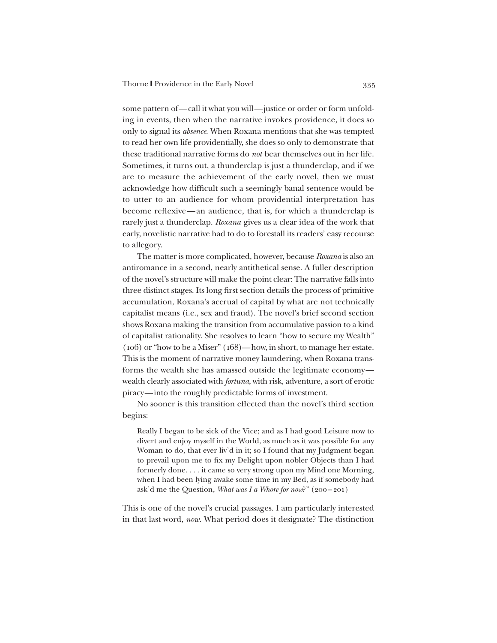some pattern of—call it what you will—justice or order or form unfolding in events, then when the narrative invokes providence, it does so only to signal its *absence*. When Roxana mentions that she was tempted to read her own life providentially, she does so only to demonstrate that these traditional narrative forms do *not* bear themselves out in her life. Sometimes, it turns out, a thunderclap is just a thunderclap, and if we are to measure the achievement of the early novel, then we must acknowledge how difficult such a seemingly banal sentence would be to utter to an audience for whom providential interpretation has become reflexive—an audience, that is, for which a thunderclap is rarely just a thunderclap. *Roxana* gives us a clear idea of the work that early, novelistic narrative had to do to forestall its readers' easy recourse to allegory.

The matter is more complicated, however, because *Roxana* is also an antiromance in a second, nearly antithetical sense. A fuller description of the novel's structure will make the point clear: The narrative falls into three distinct stages. Its long first section details the process of primitive accumulation, Roxana's accrual of capital by what are not technically capitalist means (i.e., sex and fraud). The novel's brief second section shows Roxana making the transition from accumulative passion to a kind of capitalist rationality. She resolves to learn "how to secure my Wealth" (106) or "how to be a Miser" (168)—how, in short, to manage her estate. This is the moment of narrative money laundering, when Roxana transforms the wealth she has amassed outside the legitimate economy wealth clearly associated with *fortuna*, with risk, adventure, a sort of erotic piracy—into the roughly predictable forms of investment.

No sooner is this transition effected than the novel's third section begins:

Really I began to be sick of the Vice; and as I had good Leisure now to divert and enjoy myself in the World, as much as it was possible for any Woman to do, that ever liv'd in it; so I found that my Judgment began to prevail upon me to fix my Delight upon nobler Objects than I had formerly done. . . . it came so very strong upon my Mind one Morning, when I had been lying awake some time in my Bed, as if somebody had ask'd me the Question, *What was I a Whore for now*?" (200–201)

This is one of the novel's crucial passages. I am particularly interested in that last word, *now*. What period does it designate? The distinction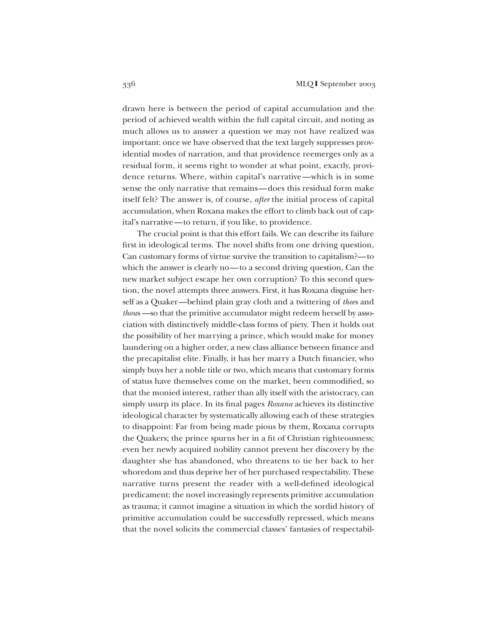drawn here is between the period of capital accumulation and the period of achieved wealth within the full capital circuit, and noting as much allows us to answer a question we may not have realized was important: once we have observed that the text largely suppresses providential modes of narration, and that providence reemerges only as a residual form, it seems right to wonder at what point, exactly, providence returns. Where, within capital's narrative—which is in some sense the only narrative that remains—does this residual form make itself felt? The answer is, of course, *after* the initial process of capital accumulation, when Roxana makes the effort to climb back out of capital's narrative—to return, if you like, to providence.

The crucial point is that this effort fails. We can describe its failure first in ideological terms. The novel shifts from one driving question, Can customary forms of virtue survive the transition to capitalism?—to which the answer is clearly no—to a second driving question, Can the new market subject escape her own corruption? To this second question, the novel attempts three answers. First, it has Roxana disguise herself as a Quaker—behind plain gray cloth and a twittering of *thee*s and *thou*s —so that the primitive accumulator might redeem herself by association with distinctively middle-class forms of piety. Then it holds out the possibility of her marrying a prince, which would make for money laundering on a higher order, a new class alliance between finance and the precapitalist elite. Finally, it has her marry a Dutch financier, who simply buys her a noble title or two, which means that customary forms of status have themselves come on the market, been commodified, so that the monied interest, rather than ally itself with the aristocracy, can simply usurp its place. In its final pages *Roxana* achieves its distinctive ideological character by systematically allowing each of these strategies to disappoint: Far from being made pious by them, Roxana corrupts the Quakers; the prince spurns her in a fit of Christian righteousness; even her newly acquired nobility cannot prevent her discovery by the daughter she has abandoned, who threatens to tie her back to her whoredom and thus deprive her of her purchased respectability. These narrative turns present the reader with a well-defined ideological predicament: the novel increasingly represents primitive accumulation as trauma; it cannot imagine a situation in which the sordid history of primitive accumulation could be successfully repressed, which means that the novel solicits the commercial classes' fantasies of respectabil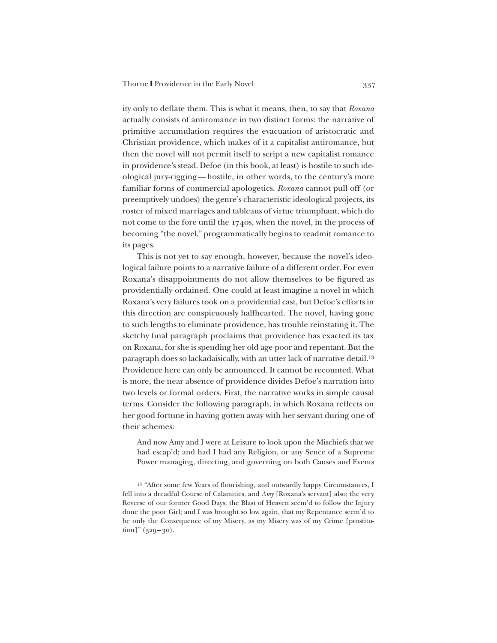ity only to deflate them. This is what it means, then, to say that *Roxana* actually consists of antiromance in two distinct forms: the narrative of primitive accumulation requires the evacuation of aristocratic and Christian providence, which makes of it a capitalist antiromance, but then the novel will not permit itself to script a new capitalist romance in providence's stead. Defoe (in this book, at least) is hostile to such ideological jury-rigging—hostile, in other words, to the century's more familiar forms of commercial apologetics. *Roxana* cannot pull off (or preemptively undoes) the genre's characteristic ideological projects, its roster of mixed marriages and tableaus of virtue triumphant, which do not come to the fore until the 1740s, when the novel, in the process of becoming "the novel," programmatically begins to readmit romance to its pages.

This is not yet to say enough, however, because the novel's ideological failure points to a narrative failure of a different order. For even Roxana's disappointments do not allow themselves to be figured as providentially ordained. One could at least imagine a novel in which Roxana's very failures took on a providential cast, but Defoe's efforts in this direction are conspicuously halfhearted. The novel, having gone to such lengths to eliminate providence, has trouble reinstating it. The sketchy final paragraph proclaims that providence has exacted its tax on Roxana, for she is spending her old age poor and repentant. But the paragraph does so lackadaisically, with an utter lack of narrative detail.13 Providence here can only be announced. It cannot be recounted. What is more, the near absence of providence divides Defoe's narration into two levels or formal orders. First, the narrative works in simple causal terms. Consider the following paragraph, in which Roxana reflects on her good fortune in having gotten away with her servant during one of their schemes:

And now Amy and I were at Leisure to look upon the Mischiefs that we had escap'd; and had I had any Religion, or any Sence of a Supreme Power managing, directing, and governing on both Causes and Events

<sup>13</sup> "After some few Years of flourishing, and outwardly happy Circumstances, I fell into a dreadful Course of Calamities, and *Amy* [Roxana's servant] also; the very Reverse of our former Good Days; the Blast of Heaven seem'd to follow the Injury done the poor Girl; and I was brought so low again, that my Repentance seem'd to be only the Consequence of my Misery, as my Misery was of my Crime [prostitu- $\[\text{tion}\]$ " (329–30).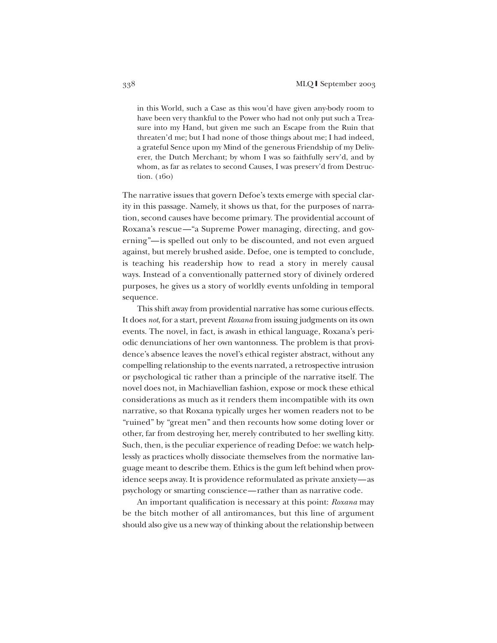in this World, such a Case as this wou'd have given any-body room to have been very thankful to the Power who had not only put such a Treasure into my Hand, but given me such an Escape from the Ruin that threaten'd me; but I had none of those things about me; I had indeed, a grateful Sence upon my Mind of the generous Friendship of my Deliverer, the Dutch Merchant; by whom I was so faithfully serv'd, and by whom, as far as relates to second Causes, I was preserv'd from Destruction. (160)

The narrative issues that govern Defoe's texts emerge with special clarity in this passage. Namely, it shows us that, for the purposes of narration, second causes have become primary. The providential account of Roxana's rescue—"a Supreme Power managing, directing, and governing"—is spelled out only to be discounted, and not even argued against, but merely brushed aside. Defoe, one is tempted to conclude, is teaching his readership how to read a story in merely causal ways. Instead of a conventionally patterned story of divinely ordered purposes, he gives us a story of worldly events unfolding in temporal sequence.

This shift away from providential narrative has some curious effects. It does *not*, for a start, prevent *Roxana* from issuing judgments on its own events. The novel, in fact, is awash in ethical language, Roxana's periodic denunciations of her own wantonness. The problem is that providence's absence leaves the novel's ethical register abstract, without any compelling relationship to the events narrated, a retrospective intrusion or psychological tic rather than a principle of the narrative itself. The novel does not, in Machiavellian fashion, expose or mock these ethical considerations as much as it renders them incompatible with its own narrative, so that Roxana typically urges her women readers not to be "ruined" by "great men" and then recounts how some doting lover or other, far from destroying her, merely contributed to her swelling kitty. Such, then, is the peculiar experience of reading Defoe: we watch helplessly as practices wholly dissociate themselves from the normative language meant to describe them. Ethics is the gum left behind when providence seeps away. It is providence reformulated as private anxiety—as psychology or smarting conscience—rather than as narrative code.

An important qualification is necessary at this point: *Roxana* may be the bitch mother of all antiromances, but this line of argument should also give us a new way of thinking about the relationship between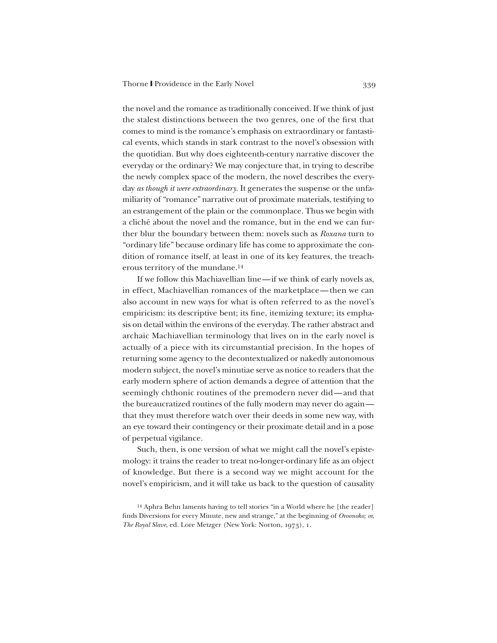the novel and the romance as traditionally conceived. If we think of just the stalest distinctions between the two genres, one of the first that comes to mind is the romance's emphasis on extraordinary or fantastical events, which stands in stark contrast to the novel's obsession with the quotidian. But why does eighteenth-century narrative discover the everyday or the ordinary? We may conjecture that, in trying to describe the newly complex space of the modern, the novel describes the everyday *as though it were extraordinary*. It generates the suspense or the unfamiliarity of "romance" narrative out of proximate materials, testifying to an estrangement of the plain or the commonplace. Thus we begin with a cliché about the novel and the romance, but in the end we can further blur the boundary between them: novels such as *Roxana* turn to "ordinary life" because ordinary life has come to approximate the condition of romance itself, at least in one of its key features, the treacherous territory of the mundane.14

If we follow this Machiavellian line—if we think of early novels as, in effect, Machiavellian romances of the marketplace—then we can also account in new ways for what is often referred to as the novel's empiricism: its descriptive bent; its fine, itemizing texture; its emphasis on detail within the environs of the everyday. The rather abstract and archaic Machiavellian terminology that lives on in the early novel is actually of a piece with its circumstantial precision. In the hopes of returning some agency to the decontextualized or nakedly autonomous modern subject, the novel's minutiae serve as notice to readers that the early modern sphere of action demands a degree of attention that the seemingly chthonic routines of the premodern never did—and that the bureaucratized routines of the fully modern may never do again that they must therefore watch over their deeds in some new way, with an eye toward their contingency or their proximate detail and in a pose of perpetual vigilance.

Such, then, is one version of what we might call the novel's epistemology: it trains the reader to treat no-longer-ordinary life as an object of knowledge. But there is a second way we might account for the novel's empiricism, and it will take us back to the question of causality

<sup>&</sup>lt;sup>14</sup> Aphra Behn laments having to tell stories "in a World where he [the reader] finds Diversions for every Minute, new and strange," at the beginning of *Oroonoko; or, The Royal Slave*, ed. Lore Metzger (New York: Norton, 1973), 1.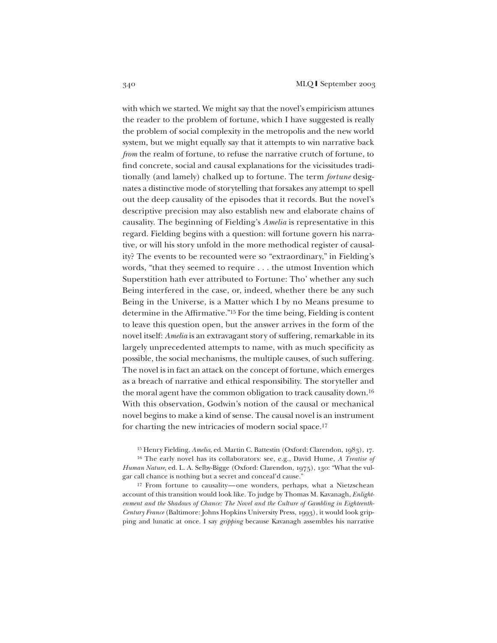with which we started. We might say that the novel's empiricism attunes the reader to the problem of fortune, which I have suggested is really the problem of social complexity in the metropolis and the new world system, but we might equally say that it attempts to win narrative back *from* the realm of fortune, to refuse the narrative crutch of fortune, to find concrete, social and causal explanations for the vicissitudes traditionally (and lamely) chalked up to fortune. The term *fortune* designates a distinctive mode of storytelling that forsakes any attempt to spell out the deep causality of the episodes that it records. But the novel's descriptive precision may also establish new and elaborate chains of causality. The beginning of Fielding's *Amelia* is representative in this regard. Fielding begins with a question: will fortune govern his narrative, or will his story unfold in the more methodical register of causality? The events to be recounted were so "extraordinary," in Fielding's words, "that they seemed to require . . . the utmost Invention which Superstition hath ever attributed to Fortune: Tho' whether any such Being interfered in the case, or, indeed, whether there be any such Being in the Universe, is a Matter which I by no Means presume to determine in the Affirmative."15 For the time being, Fielding is content to leave this question open, but the answer arrives in the form of the novel itself: *Amelia* is an extravagant story of suffering, remarkable in its largely unprecedented attempts to name, with as much specificity as possible, the social mechanisms, the multiple causes, of such suffering. The novel is in fact an attack on the concept of fortune, which emerges as a breach of narrative and ethical responsibility. The storyteller and the moral agent have the common obligation to track causality down.16 With this observation, Godwin's notion of the causal or mechanical novel begins to make a kind of sense. The causal novel is an instrument for charting the new intricacies of modern social space.17

<sup>15</sup> Henry Fielding, *Amelia*, ed. Martin C. Battestin (Oxford: Clarendon, 1983), 17.

<sup>16</sup> The early novel has its collaborators: see, e.g., David Hume, *A Treatise of Human Nature*, ed. L. A. Selby-Bigge (Oxford: Clarendon, 1975), 130: "What the vulgar call chance is nothing but a secret and conceal'd cause."

<sup>17</sup> From fortune to causality—one wonders, perhaps, what a Nietzschean account of this transition would look like. To judge by Thomas M. Kavanagh, *Enlightenment and the Shadows of Chance: The Novel and the Culture of Gambling in Eighteenth-Century France* (Baltimore: Johns Hopkins University Press, 1993), it would look gripping and lunatic at once. I say *gripping* because Kavanagh assembles his narrative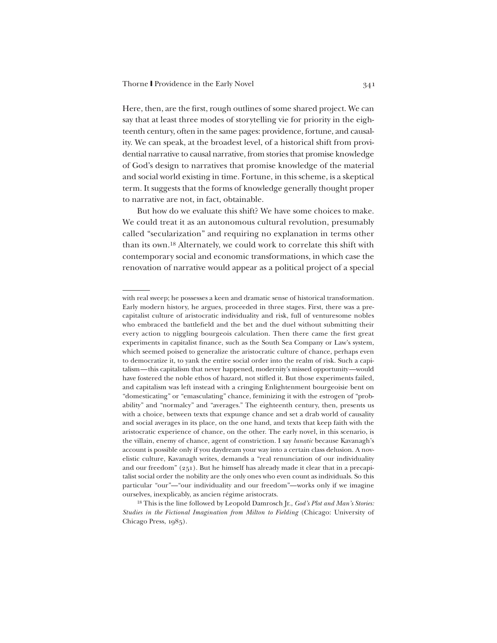Here, then, are the first, rough outlines of some shared project. We can say that at least three modes of storytelling vie for priority in the eighteenth century, often in the same pages: providence, fortune, and causality. We can speak, at the broadest level, of a historical shift from providential narrative to causal narrative, from stories that promise knowledge of God's design to narratives that promise knowledge of the material and social world existing in time. Fortune, in this scheme, is a skeptical term. It suggests that the forms of knowledge generally thought proper to narrative are not, in fact, obtainable.

But how do we evaluate this shift? We have some choices to make. We could treat it as an autonomous cultural revolution, presumably called "secularization" and requiring no explanation in terms other than its own.18 Alternately, we could work to correlate this shift with contemporary social and economic transformations, in which case the renovation of narrative would appear as a political project of a special

<sup>18</sup> This is the line followed by Leopold Damrosch Jr., *God's Plot and Man's Stories: Studies in the Fictional Imagination from Milton to Fielding* (Chicago: University of Chicago Press, 1985).

with real sweep; he possesses a keen and dramatic sense of historical transformation. Early modern history, he argues, proceeded in three stages. First, there was a precapitalist culture of aristocratic individuality and risk, full of venturesome nobles who embraced the battlefield and the bet and the duel without submitting their every action to niggling bourgeois calculation. Then there came the first great experiments in capitalist finance, such as the South Sea Company or Law's system, which seemed poised to generalize the aristocratic culture of chance, perhaps even to democratize it, to yank the entire social order into the realm of risk. Such a capitalism—this capitalism that never happened, modernity's missed opportunity—would have fostered the noble ethos of hazard, not stifled it. But those experiments failed, and capitalism was left instead with a cringing Enlightenment bourgeoisie bent on "domesticating" or "emasculating" chance, feminizing it with the estrogen of "probability" and "normalcy" and "averages." The eighteenth century, then, presents us with a choice, between texts that expunge chance and set a drab world of causality and social averages in its place, on the one hand, and texts that keep faith with the aristocratic experience of chance, on the other. The early novel, in this scenario, is the villain, enemy of chance, agent of constriction. I say *lunatic* because Kavanagh's account is possible only if you daydream your way into a certain class delusion. A novelistic culture, Kavanagh writes, demands a "real renunciation of our individuality and our freedom" (251). But he himself has already made it clear that in a precapitalist social order the nobility are the only ones who even count as individuals. So this particular "our"—"our individuality and our freedom"—works only if we imagine ourselves, inexplicably, as ancien régime aristocrats.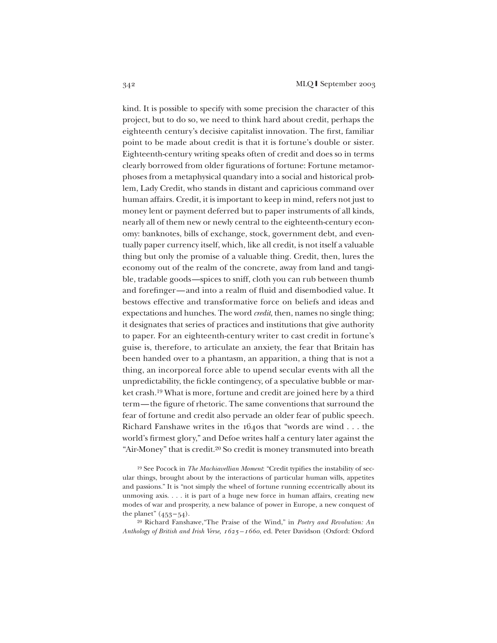kind. It is possible to specify with some precision the character of this project, but to do so, we need to think hard about credit, perhaps the eighteenth century's decisive capitalist innovation. The first, familiar point to be made about credit is that it is fortune's double or sister. Eighteenth-century writing speaks often of credit and does so in terms clearly borrowed from older figurations of fortune: Fortune metamorphoses from a metaphysical quandary into a social and historical problem, Lady Credit, who stands in distant and capricious command over human affairs. Credit, it is important to keep in mind, refers not just to money lent or payment deferred but to paper instruments of all kinds, nearly all of them new or newly central to the eighteenth-century economy: banknotes, bills of exchange, stock, government debt, and eventually paper currency itself, which, like all credit, is not itself a valuable thing but only the promise of a valuable thing. Credit, then, lures the economy out of the realm of the concrete, away from land and tangible, tradable goods—spices to sniff, cloth you can rub between thumb and forefinger—and into a realm of fluid and disembodied value. It bestows effective and transformative force on beliefs and ideas and expectations and hunches. The word *credit*, then, names no single thing; it designates that series of practices and institutions that give authority to paper. For an eighteenth-century writer to cast credit in fortune's guise is, therefore, to articulate an anxiety, the fear that Britain has been handed over to a phantasm, an apparition, a thing that is not a thing, an incorporeal force able to upend secular events with all the unpredictability, the fickle contingency, of a speculative bubble or market crash.19 What is more, fortune and credit are joined here by a third term—the figure of rhetoric. The same conventions that surround the fear of fortune and credit also pervade an older fear of public speech. Richard Fanshawe writes in the 1640s that "words are wind . . . the world's firmest glory," and Defoe writes half a century later against the "Air-Money" that is credit.20 So credit is money transmuted into breath

<sup>19</sup> See Pocock in *The Machiavellian Moment*: "Credit typifies the instability of secular things, brought about by the interactions of particular human wills, appetites and passions." It is "not simply the wheel of fortune running eccentrically about its unmoving axis. . . . it is part of a huge new force in human affairs, creating new modes of war and prosperity, a new balance of power in Europe, a new conquest of the planet"  $(453 - 54)$ .

<sup>20</sup> Richard Fanshawe,"The Praise of the Wind," in *Poetry and Revolution: An Anthology of British and Irish Verse, 1625–1660*, ed. Peter Davidson (Oxford: Oxford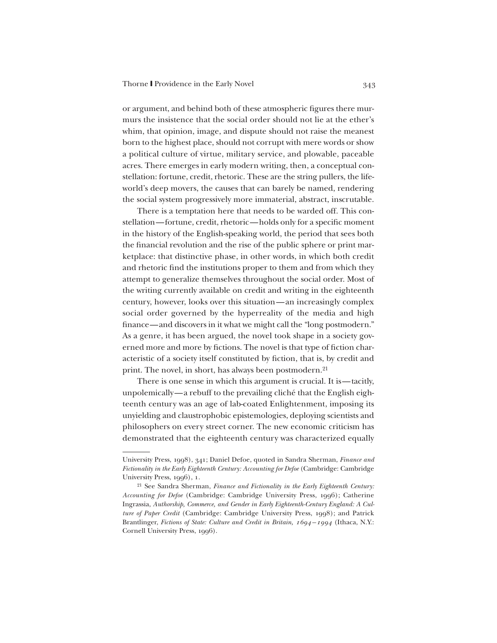or argument, and behind both of these atmospheric figures there murmurs the insistence that the social order should not lie at the ether's whim, that opinion, image, and dispute should not raise the meanest born to the highest place, should not corrupt with mere words or show a political culture of virtue, military service, and plowable, paceable acres. There emerges in early modern writing, then, a conceptual constellation: fortune, credit, rhetoric. These are the string pullers, the lifeworld's deep movers, the causes that can barely be named, rendering the social system progressively more immaterial, abstract, inscrutable.

There is a temptation here that needs to be warded off. This constellation—fortune, credit, rhetoric—holds only for a specific moment in the history of the English-speaking world, the period that sees both the financial revolution and the rise of the public sphere or print marketplace: that distinctive phase, in other words, in which both credit and rhetoric find the institutions proper to them and from which they attempt to generalize themselves throughout the social order. Most of the writing currently available on credit and writing in the eighteenth century, however, looks over this situation—an increasingly complex social order governed by the hyperreality of the media and high finance—and discovers in it what we might call the "long postmodern." As a genre, it has been argued, the novel took shape in a society governed more and more by fictions. The novel is that type of fiction characteristic of a society itself constituted by fiction, that is, by credit and print. The novel, in short, has always been postmodern.21

There is one sense in which this argument is crucial. It is—tacitly, unpolemically—a rebuff to the prevailing cliché that the English eighteenth century was an age of lab-coated Enlightenment, imposing its unyielding and claustrophobic epistemologies, deploying scientists and philosophers on every street corner. The new economic criticism has demonstrated that the eighteenth century was characterized equally

University Press, 1998), 341; Daniel Defoe, quoted in Sandra Sherman, *Finance and Fictionality in the Early Eighteenth Century: Accounting for Defoe* (Cambridge: Cambridge University Press, 1996), 1.

<sup>21</sup> See Sandra Sherman, *Finance and Fictionality in the Early Eighteenth Century: Accounting for Defoe* (Cambridge: Cambridge University Press, 1996); Catherine Ingrassia, *Authorship, Commerce, and Gender in Early Eighteenth-Century England: A Culture of Paper Credit* (Cambridge: Cambridge University Press, 1998); and Patrick Brantlinger, *Fictions of State: Culture and Credit in Britain, 1694–1994* (Ithaca, N.Y.: Cornell University Press, 1996).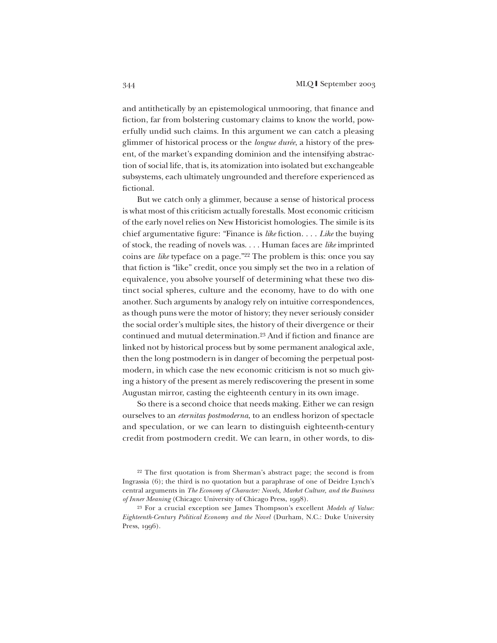and antithetically by an epistemological unmooring, that finance and fiction, far from bolstering customary claims to know the world, powerfully undid such claims. In this argument we can catch a pleasing glimmer of historical process or the *longue durée*, a history of the present, of the market's expanding dominion and the intensifying abstraction of social life, that is, its atomization into isolated but exchangeable subsystems, each ultimately ungrounded and therefore experienced as fictional.

But we catch only a glimmer, because a sense of historical process is what most of this criticism actually forestalls. Most economic criticism of the early novel relies on New Historicist homologies. The simile is its chief argumentative figure: "Finance is *like* fiction. . . . *Like* the buying of stock, the reading of novels was. . . . Human faces are *like* imprinted coins are *like* typeface on a page."22 The problem is this: once you say that fiction is "like" credit, once you simply set the two in a relation of equivalence, you absolve yourself of determining what these two distinct social spheres, culture and the economy, have to do with one another. Such arguments by analogy rely on intuitive correspondences, as though puns were the motor of history; they never seriously consider the social order's multiple sites, the history of their divergence or their continued and mutual determination.23 And if fiction and finance are linked not by historical process but by some permanent analogical axle, then the long postmodern is in danger of becoming the perpetual postmodern, in which case the new economic criticism is not so much giving a history of the present as merely rediscovering the present in some Augustan mirror, casting the eighteenth century in its own image.

So there is a second choice that needs making. Either we can resign ourselves to an *eternitas postmoderna*, to an endless horizon of spectacle and speculation, or we can learn to distinguish eighteenth-century credit from postmodern credit. We can learn, in other words, to dis-

<sup>22</sup> The first quotation is from Sherman's abstract page; the second is from Ingrassia (6); the third is no quotation but a paraphrase of one of Deidre Lynch's central arguments in *The Economy of Character: Novels, Market Culture, and the Business of Inner Meaning* (Chicago: University of Chicago Press, 1998).

<sup>23</sup> For a crucial exception see James Thompson's excellent *Models of Value: Eighteenth-Century Political Economy and the Novel* (Durham, N.C.: Duke University Press, 1996).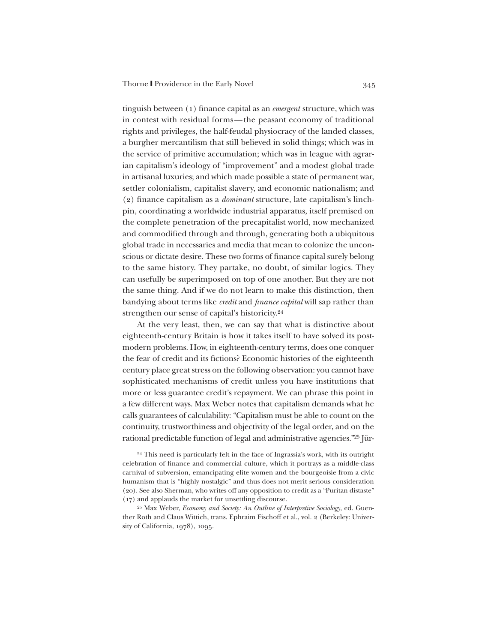tinguish between (1) finance capital as an *emergent* structure, which was in contest with residual forms—the peasant economy of traditional rights and privileges, the half-feudal physiocracy of the landed classes, a burgher mercantilism that still believed in solid things; which was in the service of primitive accumulation; which was in league with agrarian capitalism's ideology of "improvement" and a modest global trade in artisanal luxuries; and which made possible a state of permanent war, settler colonialism, capitalist slavery, and economic nationalism; and (2) finance capitalism as a *dominant* structure, late capitalism's linchpin, coordinating a worldwide industrial apparatus, itself premised on the complete penetration of the precapitalist world, now mechanized and commodified through and through, generating both a ubiquitous global trade in necessaries and media that mean to colonize the unconscious or dictate desire. These two forms of finance capital surely belong to the same history. They partake, no doubt, of similar logics. They can usefully be superimposed on top of one another. But they are not the same thing. And if we do not learn to make this distinction, then bandying about terms like *credit* and *finance capital* will sap rather than strengthen our sense of capital's historicity.24

At the very least, then, we can say that what is distinctive about eighteenth-century Britain is how it takes itself to have solved its postmodern problems. How, in eighteenth-century terms, does one conquer the fear of credit and its fictions? Economic histories of the eighteenth century place great stress on the following observation: you cannot have sophisticated mechanisms of credit unless you have institutions that more or less guarantee credit's repayment. We can phrase this point in a few different ways. Max Weber notes that capitalism demands what he calls guarantees of calculability: "Capitalism must be able to count on the continuity, trustworthiness and objectivity of the legal order, and on the rational predictable function of legal and administrative agencies."25 Jür-

<sup>24</sup> This need is particularly felt in the face of Ingrassia's work, with its outright celebration of finance and commercial culture, which it portrays as a middle-class carnival of subversion, emancipating elite women and the bourgeoisie from a civic humanism that is "highly nostalgic" and thus does not merit serious consideration (20). See also Sherman, who writes off any opposition to credit as a "Puritan distaste" (17) and applauds the market for unsettling discourse.

<sup>25</sup> Max Weber, *Economy and Society: An Outline of Interpretive Sociology*, ed. Guenther Roth and Claus Wittich, trans. Ephraim Fischoff et al., vol. 2 (Berkeley: University of California, 1978), 1095.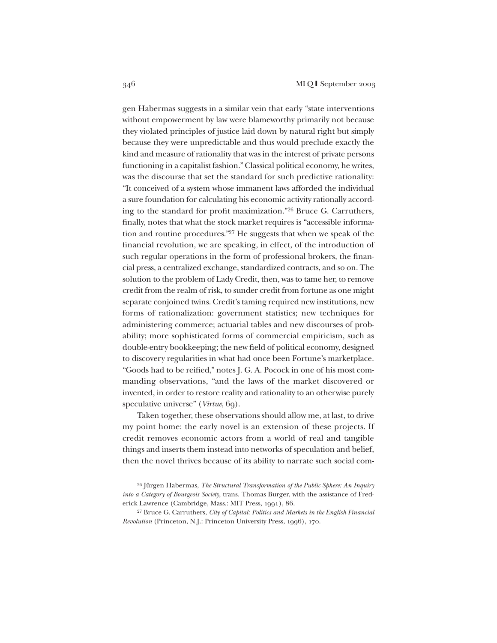gen Habermas suggests in a similar vein that early "state interventions without empowerment by law were blameworthy primarily not because they violated principles of justice laid down by natural right but simply because they were unpredictable and thus would preclude exactly the kind and measure of rationality that was in the interest of private persons functioning in a capitalist fashion." Classical political economy, he writes, was the discourse that set the standard for such predictive rationality: "It conceived of a system whose immanent laws afforded the individual a sure foundation for calculating his economic activity rationally according to the standard for profit maximization."26 Bruce G. Carruthers, finally, notes that what the stock market requires is "accessible information and routine procedures."27 He suggests that when we speak of the financial revolution, we are speaking, in effect, of the introduction of such regular operations in the form of professional brokers, the financial press, a centralized exchange, standardized contracts, and so on. The solution to the problem of Lady Credit, then, was to tame her, to remove credit from the realm of risk, to sunder credit from fortune as one might separate conjoined twins. Credit's taming required new institutions, new forms of rationalization: government statistics; new techniques for administering commerce; actuarial tables and new discourses of probability; more sophisticated forms of commercial empiricism, such as double-entry bookkeeping; the new field of political economy, designed to discovery regularities in what had once been Fortune's marketplace. "Goods had to be reified," notes J. G. A. Pocock in one of his most commanding observations, "and the laws of the market discovered or invented, in order to restore reality and rationality to an otherwise purely speculative universe" (*Virtue*, 69).

Taken together, these observations should allow me, at last, to drive my point home: the early novel is an extension of these projects. If credit removes economic actors from a world of real and tangible things and inserts them instead into networks of speculation and belief, then the novel thrives because of its ability to narrate such social com-

<sup>26</sup> Jürgen Habermas, *The Structural Transformation of the Public Sphere: An Inquiry into a Category of Bourgeois Society*, trans. Thomas Burger, with the assistance of Frederick Lawrence (Cambridge, Mass.: MIT Press, 1991), 86.

<sup>27</sup> Bruce G. Carruthers, *City of Capital: Politics and Markets in the English Financial Revolution* (Princeton, N.J.: Princeton University Press, 1996), 170.